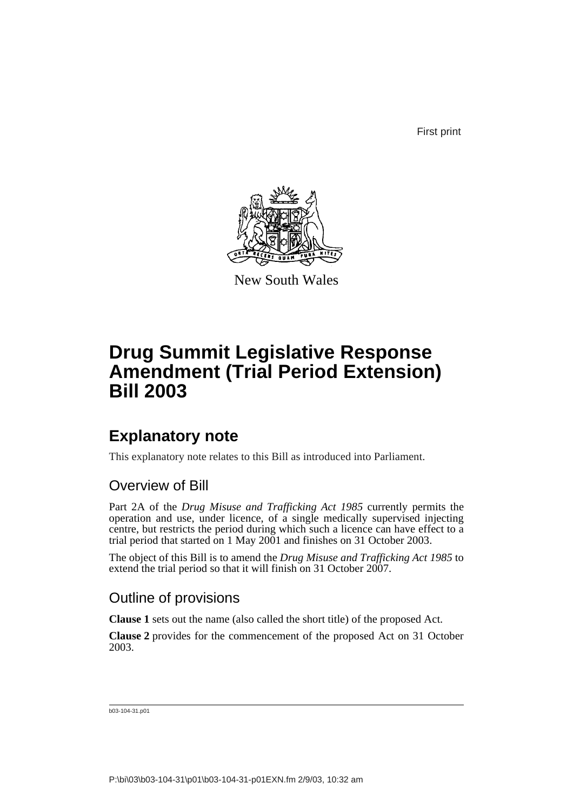First print



New South Wales

# **Drug Summit Legislative Response Amendment (Trial Period Extension) Bill 2003**

### **Explanatory note**

This explanatory note relates to this Bill as introduced into Parliament.

### Overview of Bill

Part 2A of the *Drug Misuse and Trafficking Act 1985* currently permits the operation and use, under licence, of a single medically supervised injecting centre, but restricts the period during which such a licence can have effect to a trial period that started on 1 May 2001 and finishes on 31 October 2003.

The object of this Bill is to amend the *Drug Misuse and Trafficking Act 1985* to extend the trial period so that it will finish on 31 October 2007.

### Outline of provisions

**Clause 1** sets out the name (also called the short title) of the proposed Act.

**Clause 2** provides for the commencement of the proposed Act on 31 October 2003.

b03-104-31.p01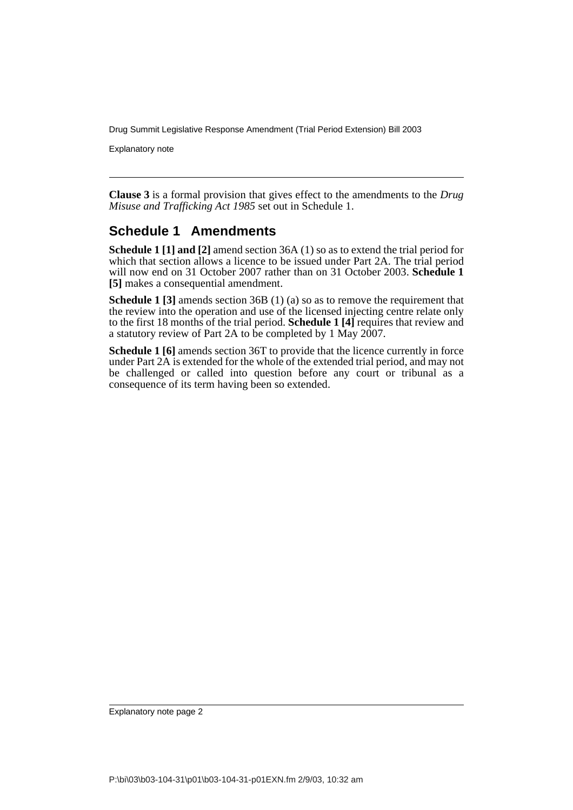Drug Summit Legislative Response Amendment (Trial Period Extension) Bill 2003

Explanatory note

**Clause 3** is a formal provision that gives effect to the amendments to the *Drug Misuse and Trafficking Act 1985* set out in Schedule 1.

### **Schedule 1 Amendments**

**Schedule 1 [1] and [2]** amend section 36A (1) so as to extend the trial period for which that section allows a licence to be issued under Part 2A. The trial period will now end on 31 October 2007 rather than on 31 October 2003. **Schedule 1 [5]** makes a consequential amendment.

**Schedule 1 [3]** amends section 36B (1) (a) so as to remove the requirement that the review into the operation and use of the licensed injecting centre relate only to the first 18 months of the trial period. **Schedule 1 [4]** requires that review and a statutory review of Part 2A to be completed by 1 May 2007.

**Schedule 1 [6]** amends section 36T to provide that the licence currently in force under Part 2A is extended for the whole of the extended trial period, and may not be challenged or called into question before any court or tribunal as a consequence of its term having been so extended.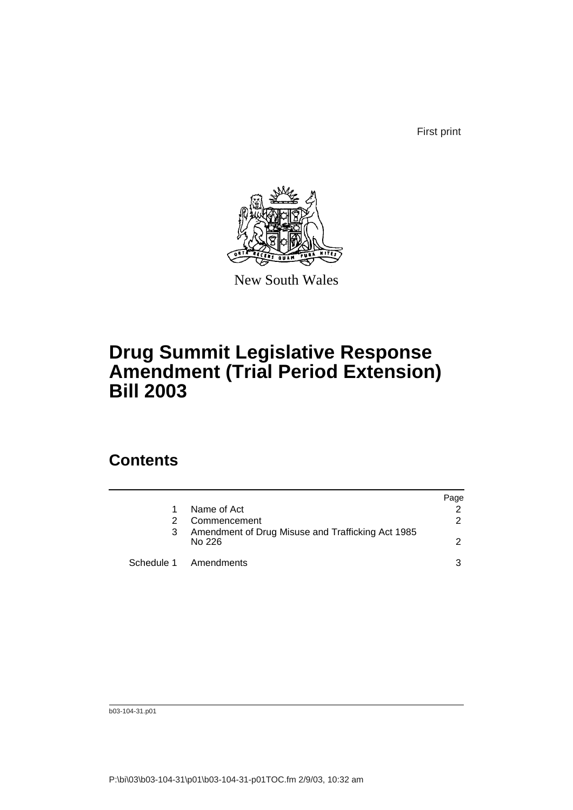First print



New South Wales

## **Drug Summit Legislative Response Amendment (Trial Period Extension) Bill 2003**

### **Contents**

|                                                             | Page          |
|-------------------------------------------------------------|---------------|
| Name of Act                                                 |               |
| Commencement                                                | $\mathcal{P}$ |
| Amendment of Drug Misuse and Trafficking Act 1985<br>No 226 | $\mathcal{P}$ |
| Schedule 1 Amendments                                       | 3             |

b03-104-31.p01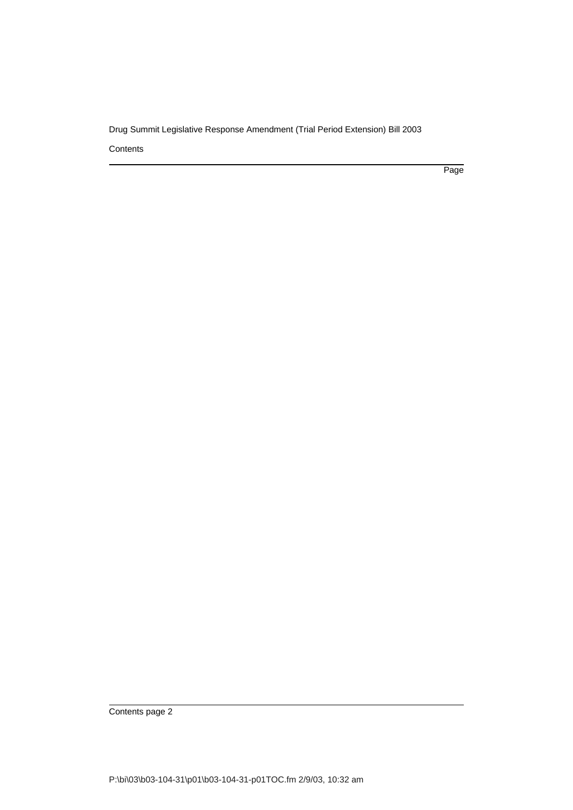Drug Summit Legislative Response Amendment (Trial Period Extension) Bill 2003

**Contents** 

Page

Contents page 2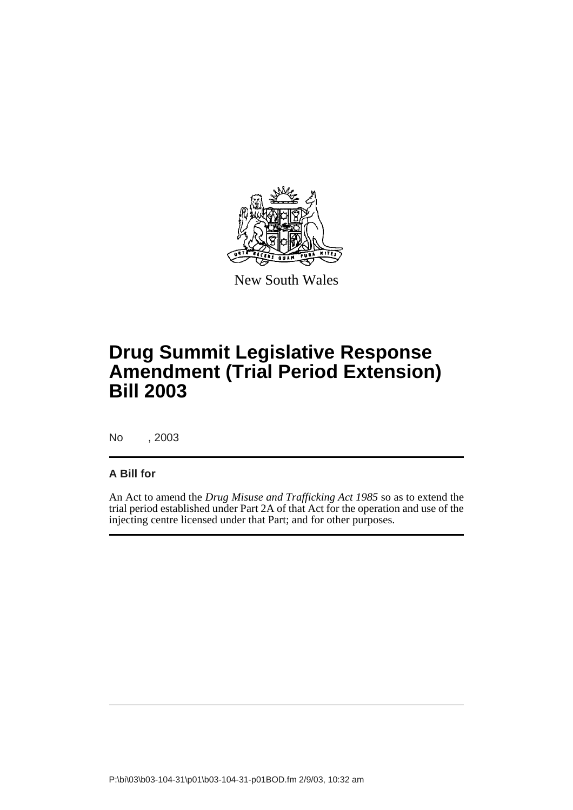

New South Wales

# **Drug Summit Legislative Response Amendment (Trial Period Extension) Bill 2003**

No , 2003

#### **A Bill for**

An Act to amend the *Drug Misuse and Trafficking Act 1985* so as to extend the trial period established under Part 2A of that Act for the operation and use of the injecting centre licensed under that Part; and for other purposes.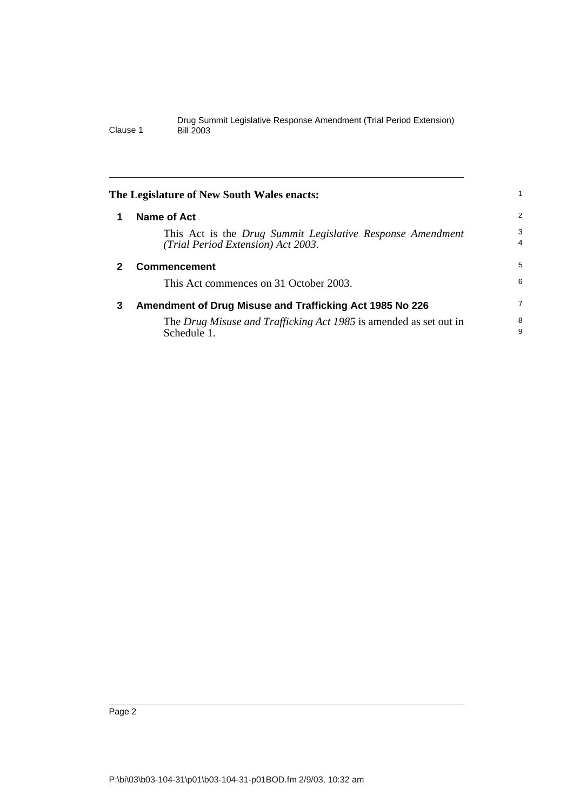<span id="page-5-2"></span><span id="page-5-1"></span><span id="page-5-0"></span>

|   | The Legislature of New South Wales enacts:                                                       |                     |
|---|--------------------------------------------------------------------------------------------------|---------------------|
| 1 | Name of Act                                                                                      | 2                   |
|   | This Act is the Drug Summit Legislative Response Amendment<br>(Trial Period Extension) Act 2003. | 3<br>$\overline{4}$ |
| 2 | <b>Commencement</b>                                                                              | 5                   |
|   | This Act commences on 31 October 2003.                                                           | 6                   |
| 3 | Amendment of Drug Misuse and Trafficking Act 1985 No 226                                         | 7                   |
|   | The Drug Misuse and Trafficking Act 1985 is amended as set out in<br>Schedule 1.                 | 8<br>9              |